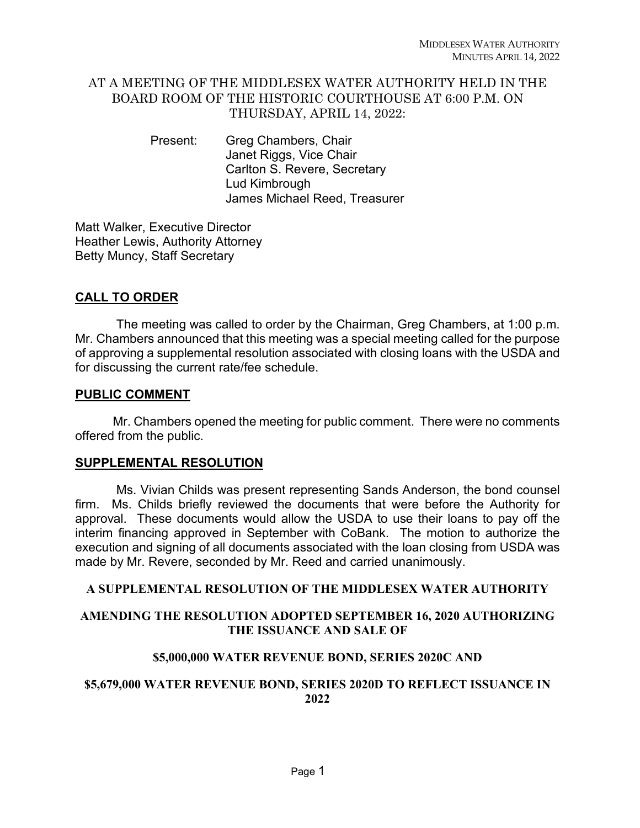## AT A MEETING OF THE MIDDLESEX WATER AUTHORITY HELD IN THE BOARD ROOM OF THE HISTORIC COURTHOUSE AT 6:00 P.M. ON THURSDAY, APRIL 14, 2022:

Present: Greg Chambers, Chair Janet Riggs, Vice Chair Carlton S. Revere, Secretary Lud Kimbrough James Michael Reed, Treasurer

Matt Walker, Executive Director Heather Lewis, Authority Attorney Betty Muncy, Staff Secretary

# **CALL TO ORDER**

 The meeting was called to order by the Chairman, Greg Chambers, at 1:00 p.m. Mr. Chambers announced that this meeting was a special meeting called for the purpose of approving a supplemental resolution associated with closing loans with the USDA and for discussing the current rate/fee schedule.

### **PUBLIC COMMENT**

Mr. Chambers opened the meeting for public comment. There were no comments offered from the public.

## **SUPPLEMENTAL RESOLUTION**

 Ms. Vivian Childs was present representing Sands Anderson, the bond counsel firm. Ms. Childs briefly reviewed the documents that were before the Authority for approval. These documents would allow the USDA to use their loans to pay off the interim financing approved in September with CoBank. The motion to authorize the execution and signing of all documents associated with the loan closing from USDA was made by Mr. Revere, seconded by Mr. Reed and carried unanimously.

## **A SUPPLEMENTAL RESOLUTION OF THE MIDDLESEX WATER AUTHORITY**

## **AMENDING THE RESOLUTION ADOPTED SEPTEMBER 16, 2020 AUTHORIZING THE ISSUANCE AND SALE OF**

## **\$5,000,000 WATER REVENUE BOND, SERIES 2020C AND**

## **\$5,679,000 WATER REVENUE BOND, SERIES 2020D TO REFLECT ISSUANCE IN 2022**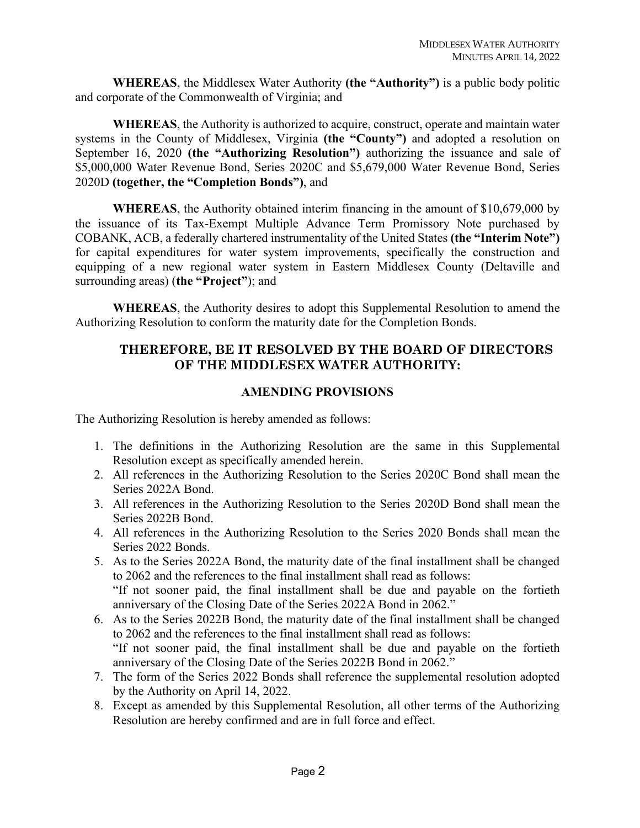**WHEREAS**, the Middlesex Water Authority **(the "Authority")** is a public body politic and corporate of the Commonwealth of Virginia; and

**WHEREAS**, the Authority is authorized to acquire, construct, operate and maintain water systems in the County of Middlesex, Virginia **(the "County")** and adopted a resolution on September 16, 2020 **(the "Authorizing Resolution")** authorizing the issuance and sale of \$5,000,000 Water Revenue Bond, Series 2020C and \$5,679,000 Water Revenue Bond, Series 2020D **(together, the "Completion Bonds")**, and

**WHEREAS**, the Authority obtained interim financing in the amount of \$10,679,000 by the issuance of its Tax-Exempt Multiple Advance Term Promissory Note purchased by COBANK, ACB, a federally chartered instrumentality of the United States **(the "Interim Note")** for capital expenditures for water system improvements, specifically the construction and equipping of a new regional water system in Eastern Middlesex County (Deltaville and surrounding areas) (**the "Project"**); and

**WHEREAS**, the Authority desires to adopt this Supplemental Resolution to amend the Authorizing Resolution to conform the maturity date for the Completion Bonds.

### **THEREFORE, BE IT RESOLVED BY THE BOARD OF DIRECTORS OF THE MIDDLESEX WATER AUTHORITY:**

#### **AMENDING PROVISIONS**

The Authorizing Resolution is hereby amended as follows:

- 1. The definitions in the Authorizing Resolution are the same in this Supplemental Resolution except as specifically amended herein.
- 2. All references in the Authorizing Resolution to the Series 2020C Bond shall mean the Series 2022A Bond.
- 3. All references in the Authorizing Resolution to the Series 2020D Bond shall mean the Series 2022B Bond.
- 4. All references in the Authorizing Resolution to the Series 2020 Bonds shall mean the Series 2022 Bonds.
- 5. As to the Series 2022A Bond, the maturity date of the final installment shall be changed to 2062 and the references to the final installment shall read as follows: "If not sooner paid, the final installment shall be due and payable on the fortieth anniversary of the Closing Date of the Series 2022A Bond in 2062."
- 6. As to the Series 2022B Bond, the maturity date of the final installment shall be changed to 2062 and the references to the final installment shall read as follows: "If not sooner paid, the final installment shall be due and payable on the fortieth anniversary of the Closing Date of the Series 2022B Bond in 2062."
- 7. The form of the Series 2022 Bonds shall reference the supplemental resolution adopted by the Authority on April 14, 2022.
- 8. Except as amended by this Supplemental Resolution, all other terms of the Authorizing Resolution are hereby confirmed and are in full force and effect.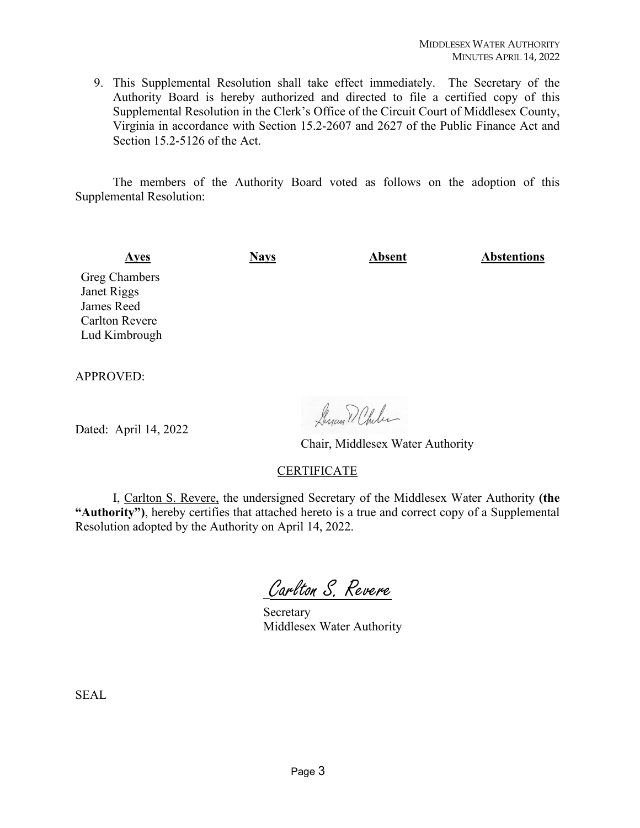9. This Supplemental Resolution shall take effect immediately. The Secretary of the Authority Board is hereby authorized and directed to file a certified copy of this Supplemental Resolution in the Clerk's Office of the Circuit Court of Middlesex County, Virginia in accordance with Section 15.2-2607 and 2627 of the Public Finance Act and Section 15.2-5126 of the Act.

The members of the Authority Board voted as follows on the adoption of this Supplemental Resolution:

**Ayes Nays Absent Abstentions** Greg Chambers Janet Riggs James Reed

Carlton Revere Lud Kimbrough

APPROVED:

Dated: April 14, 2022

Suran D. Chiles

Chair, Middlesex Water Authority

#### **CERTIFICATE**

I, Carlton S. Revere, the undersigned Secretary of the Middlesex Water Authority **(the "Authority")**, hereby certifies that attached hereto is a true and correct copy of a Supplemental Resolution adopted by the Authority on April 14, 2022.

Carlton S. Revere

 Secretary Middlesex Water Authority

SEAL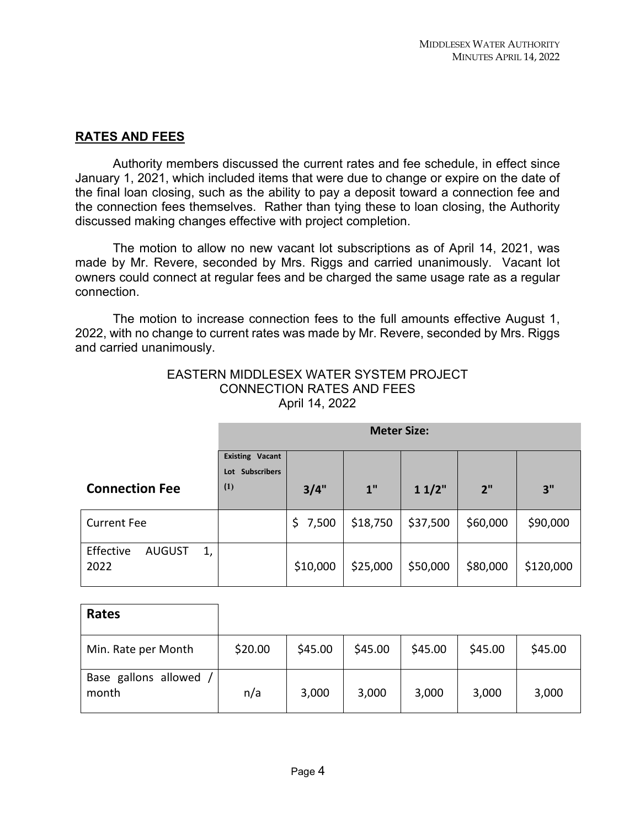# **RATES AND FEES**

Authority members discussed the current rates and fee schedule, in effect since January 1, 2021, which included items that were due to change or expire on the date of the final loan closing, such as the ability to pay a deposit toward a connection fee and the connection fees themselves. Rather than tying these to loan closing, the Authority discussed making changes effective with project completion.

The motion to allow no new vacant lot subscriptions as of April 14, 2021, was made by Mr. Revere, seconded by Mrs. Riggs and carried unanimously. Vacant lot owners could connect at regular fees and be charged the same usage rate as a regular connection.

The motion to increase connection fees to the full amounts effective August 1, 2022, with no change to current rates was made by Mr. Revere, seconded by Mrs. Riggs and carried unanimously.

|                                          | <b>Meter Size:</b>        |          |                 |          |          |           |  |
|------------------------------------------|---------------------------|----------|-----------------|----------|----------|-----------|--|
|                                          | <b>Existing Vacant</b>    |          |                 |          |          |           |  |
|                                          | <b>Subscribers</b><br>Lot |          |                 |          |          |           |  |
| <b>Connection Fee</b>                    | (1)                       | 3/4"     | 1 <sup>''</sup> | 11/2"    | 2"       | 3"        |  |
| <b>Current Fee</b>                       |                           | \$7,500  | \$18,750        | \$37,500 | \$60,000 | \$90,000  |  |
| Effective<br><b>AUGUST</b><br>1,<br>2022 |                           | \$10,000 | \$25,000        | \$50,000 | \$80,000 | \$120,000 |  |

EASTERN MIDDLESEX WATER SYSTEM PROJECT CONNECTION RATES AND FEES April 14, 2022

| Rates                         |         |         |         |         |         |         |
|-------------------------------|---------|---------|---------|---------|---------|---------|
| Min. Rate per Month           | \$20.00 | \$45.00 | \$45.00 | \$45.00 | \$45.00 | \$45.00 |
| Base gallons allowed<br>month | n/a     | 3,000   | 3,000   | 3,000   | 3,000   | 3,000   |